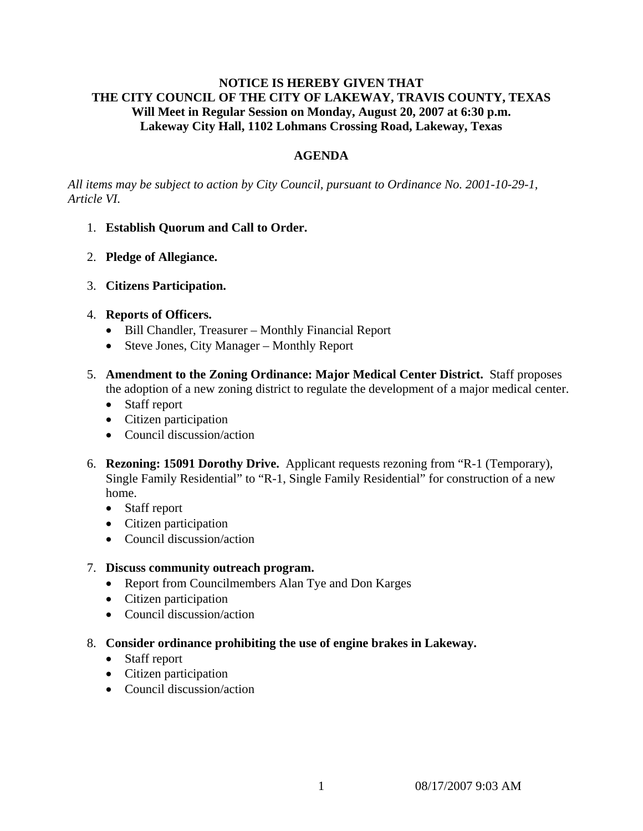## **NOTICE IS HEREBY GIVEN THAT THE CITY COUNCIL OF THE CITY OF LAKEWAY, TRAVIS COUNTY, TEXAS Will Meet in Regular Session on Monday, August 20, 2007 at 6:30 p.m. Lakeway City Hall, 1102 Lohmans Crossing Road, Lakeway, Texas**

# **AGENDA**

*All items may be subject to action by City Council, pursuant to Ordinance No. 2001-10-29-1, Article VI.* 

- 1. **Establish Quorum and Call to Order.**
- 2. **Pledge of Allegiance.**
- 3. **Citizens Participation.**
- 4. **Reports of Officers.**
	- Bill Chandler, Treasurer Monthly Financial Report
	- Steve Jones, City Manager Monthly Report
- 5. **Amendment to the Zoning Ordinance: Major Medical Center District.** Staff proposes the adoption of a new zoning district to regulate the development of a major medical center.
	- Staff report
	- Citizen participation
	- Council discussion/action
- 6. **Rezoning: 15091 Dorothy Drive.** Applicant requests rezoning from "R-1 (Temporary), Single Family Residential" to "R-1, Single Family Residential" for construction of a new home.
	- Staff report
	- Citizen participation
	- Council discussion/action

### 7. **Discuss community outreach program.**

- Report from Councilmembers Alan Tye and Don Karges
- Citizen participation
- Council discussion/action
- 8. **Consider ordinance prohibiting the use of engine brakes in Lakeway.** 
	- Staff report
	- Citizen participation
	- Council discussion/action